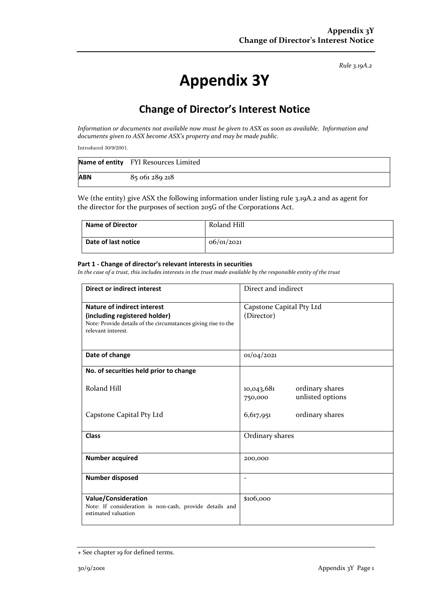*Rule 3.19A.2*

# **Appendix 3Y**

# **Change of Director's Interest Notice**

*Information or documents not available now must be given to ASX as soon as available. Information and documents given to ASX become ASX's property and may be made public.*

Introduced 30/9/2001.

|            | Name of entity FYI Resources Limited |
|------------|--------------------------------------|
| <b>ABN</b> | 85 061 289 218                       |

We (the entity) give ASX the following information under listing rule 3.19A.2 and as agent for the director for the purposes of section 205G of the Corporations Act.

| Name of Director    | Roland Hill |
|---------------------|-------------|
| Date of last notice | 06/01/2021  |

#### **Part 1 - Change of director's relevant interests in securities**

*In the case of a trust, this includes interests in the trust made available by the responsible entity of the trust*

| Direct or indirect interest                                                                                                                                | Direct and indirect                                          |  |
|------------------------------------------------------------------------------------------------------------------------------------------------------------|--------------------------------------------------------------|--|
| <b>Nature of indirect interest</b><br>(including registered holder)<br>Note: Provide details of the circumstances giving rise to the<br>relevant interest. | Capstone Capital Pty Ltd<br>(Director)                       |  |
| Date of change                                                                                                                                             | 01/04/2021                                                   |  |
| No. of securities held prior to change                                                                                                                     |                                                              |  |
| Roland Hill                                                                                                                                                | ordinary shares<br>10,043,681<br>unlisted options<br>750,000 |  |
| Capstone Capital Pty Ltd                                                                                                                                   | ordinary shares<br>6,617,951                                 |  |
| <b>Class</b>                                                                                                                                               | Ordinary shares                                              |  |
| <b>Number acquired</b>                                                                                                                                     | 200,000                                                      |  |
| Number disposed                                                                                                                                            | $\overline{\phantom{0}}$                                     |  |
| <b>Value/Consideration</b><br>Note: If consideration is non-cash, provide details and<br>estimated valuation                                               | \$106,000                                                    |  |

<sup>+</sup> See chapter 19 for defined terms.